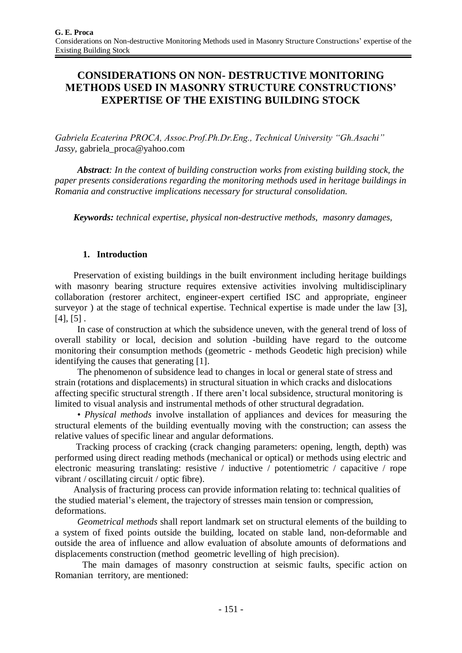# **CONSIDERATIONS ON NON- DESTRUCTIVE MONITORING METHODS USED IN MASONRY STRUCTURE CONSTRUCTIONS' EXPERTISE OF THE EXISTING BUILDING STOCK**

*Gabriela Ecaterina PROCA, Assoc.Prof.Ph.Dr.Eng., Technical University "Gh.Asachi" Jassy,* [gabriela\\_proca@yahoo.com](mailto:gabriela_proca@yahoo.com)

*Abstract: In the context of building construction works from existing building stock, the paper presents considerations regarding the monitoring methods used in heritage buildings in Romania and constructive implications necessary for structural consolidation.*

*Keywords: technical expertise, physical non-destructive methods, masonry damages,* 

### **1. Introduction**

Preservation of existing buildings in the built environment including heritage buildings with masonry bearing structure requires extensive activities involving multidisciplinary collaboration (restorer architect, engineer-expert certified ISC and appropriate, engineer surveyor ) at the stage of technical expertise. Technical expertise is made under the law [3],  $[4], [5]$ .

In case of construction at which the subsidence uneven, with the general trend of loss of overall stability or local, decision and solution -building have regard to the outcome monitoring their consumption methods (geometric - methods Geodetic high precision) while identifying the causes that generating [1].

The phenomenon of subsidence lead to changes in local or general state of stress and strain (rotations and displacements) in structural situation in which cracks and dislocations affecting specific structural strength . If there aren't local subsidence, structural monitoring is limited to visual analysis and instrumental methods of other structural degradation.

• *Physical methods* involve installation of appliances and devices for measuring the structural elements of the building eventually moving with the construction; can assess the relative values of specific linear and angular deformations.

 Tracking process of cracking (crack changing parameters: opening, length, depth) was performed using direct reading methods (mechanical or optical) or methods using electric and electronic measuring translating: resistive / inductive / potentiometric / capacitive / rope vibrant / oscillating circuit / optic fibre).

Analysis of fracturing process can provide information relating to: technical qualities of the studied material's element, the trajectory of stresses main tension or compression, deformations.

*Geometrical methods* shall report landmark set on structural elements of the building to a system of fixed points outside the building, located on stable land, non-deformable and outside the area of influence and allow evaluation of absolute amounts of deformations and displacements construction (method geometric levelling of high precision).

The main damages of masonry construction at seismic faults, specific action on Romanian territory, are mentioned: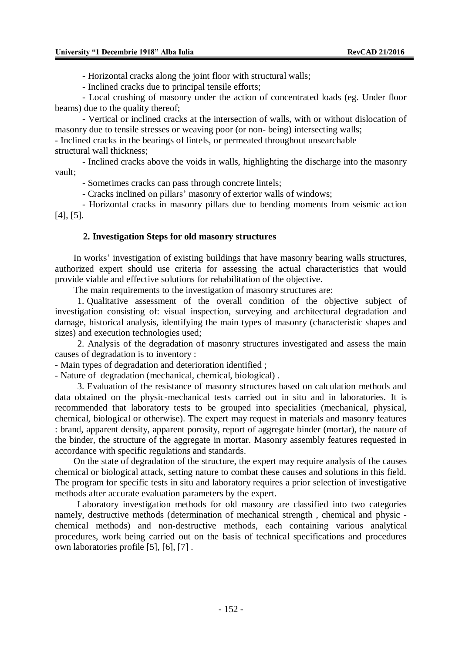- Horizontal cracks along the joint floor with structural walls;

- Inclined cracks due to principal tensile efforts;

- Local crushing of masonry under the action of concentrated loads (eg. Under floor beams) due to the quality thereof;

- Vertical or inclined cracks at the intersection of walls, with or without dislocation of masonry due to tensile stresses or weaving poor (or non- being) intersecting walls;

- Inclined cracks in the bearings of lintels, or permeated throughout unsearchable structural wall thickness;

- Inclined cracks above the voids in walls, highlighting the discharge into the masonry vault;

- Sometimes cracks can pass through concrete lintels;

- Cracks inclined on pillars' masonry of exterior walls of windows;

- Horizontal cracks in masonry pillars due to bending moments from seismic action [4], [5].

#### **2. Investigation Steps for old masonry structures**

In works' investigation of existing buildings that have masonry bearing walls structures, authorized expert should use criteria for assessing the actual characteristics that would provide viable and effective solutions for rehabilitation of the objective.

The main requirements to the investigation of masonry structures are:

1. Qualitative assessment of the overall condition of the objective subject of investigation consisting of: visual inspection, surveying and architectural degradation and damage, historical analysis, identifying the main types of masonry (characteristic shapes and sizes) and execution technologies used;

2. Analysis of the degradation of masonry structures investigated and assess the main causes of degradation is to inventory :

- Main types of degradation and deterioration identified ;

- Nature of degradation (mechanical, chemical, biological) .

3. Evaluation of the resistance of masonry structures based on calculation methods and data obtained on the physic-mechanical tests carried out in situ and in laboratories. It is recommended that laboratory tests to be grouped into specialities (mechanical, physical, chemical, biological or otherwise). The expert may request in materials and masonry features : brand, apparent density, apparent porosity, report of aggregate binder (mortar), the nature of the binder, the structure of the aggregate in mortar. Masonry assembly features requested in accordance with specific regulations and standards.

On the state of degradation of the structure, the expert may require analysis of the causes chemical or biological attack, setting nature to combat these causes and solutions in this field. The program for specific tests in situ and laboratory requires a prior selection of investigative methods after accurate evaluation parameters by the expert.

Laboratory investigation methods for old masonry are classified into two categories namely, destructive methods (determination of mechanical strength , chemical and physic chemical methods) and non-destructive methods, each containing various analytical procedures, work being carried out on the basis of technical specifications and procedures own laboratories profile [5], [6], [7] .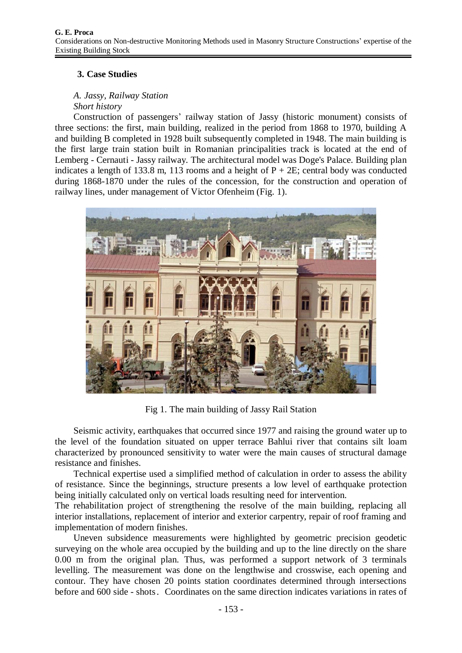## **3. Case Studies**

## *A. Jassy, Railway Station*

### *Short history*

Construction of passengers' railway station of Jassy (historic monument) consists of three sections: the first, main building, realized in the period from 1868 to 1970, building A and building B completed in 1928 built subsequently completed in 1948. The main building is the first large train station built in Romanian principalities track is located at the end of Lemberg - Cernauti - Jassy railway. The architectural model was Doge's Palace. Building plan indicates a length of 133.8 m, 113 rooms and a height of  $P + 2E$ ; central body was conducted during 1868-1870 under the rules of the concession, for the construction and operation of railway lines, under management of Victor Ofenheim (Fig. 1).



Fig 1. The main building of Jassy Rail Station

Seismic activity, earthquakes that occurred since 1977 and raising the ground water up to the level of the foundation situated on upper terrace Bahlui river that contains silt loam characterized by pronounced sensitivity to water were the main causes of structural damage resistance and finishes.

Technical expertise used a simplified method of calculation in order to assess the ability of resistance. Since the beginnings, structure presents a low level of earthquake protection being initially calculated only on vertical loads resulting need for intervention.

The rehabilitation project of strengthening the resolve of the main building, replacing all interior installations, replacement of interior and exterior carpentry, repair of roof framing and implementation of modern finishes.

Uneven subsidence measurements were highlighted by geometric precision geodetic surveying on the whole area occupied by the building and up to the line directly on the share 0.00 m from the original plan. Thus, was performed a support network of 3 terminals levelling. The measurement was done on the lengthwise and crosswise, each opening and contour. They have chosen 20 points station coordinates determined through intersections before and 600 side - shots. Coordinates on the same direction indicates variations in rates of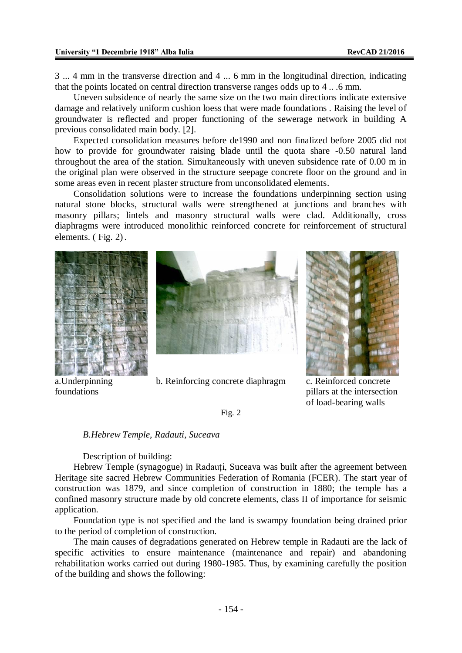3 ... 4 mm in the transverse direction and 4 ... 6 mm in the longitudinal direction, indicating that the points located on central direction transverse ranges odds up to 4 .. .6 mm.

Uneven subsidence of nearly the same size on the two main directions indicate extensive damage and relatively uniform cushion loess that were made foundations . Raising the level of groundwater is reflected and proper functioning of the sewerage network in building A previous consolidated main body. [2].

Expected consolidation measures before de1990 and non finalized before 2005 did not how to provide for groundwater raising blade until the quota share -0.50 natural land throughout the area of the station. Simultaneously with uneven subsidence rate of 0.00 m in the original plan were observed in the structure seepage concrete floor on the ground and in some areas even in recent plaster structure from unconsolidated elements.

Consolidation solutions were to increase the foundations underpinning section using natural stone blocks, structural walls were strengthened at junctions and branches with masonry pillars; lintels and masonry structural walls were clad. Additionally, cross diaphragms were introduced monolithic reinforced concrete for reinforcement of structural elements. ( Fig. 2).







a.Underpinning foundations



pillars at the intersection of load-bearing walls

Fig. 2

#### *B.Hebrew Temple, Radauti, Suceava*

Description of building:

Hebrew Temple (synagogue) in Radauți, Suceava was built after the agreement between Heritage site sacred Hebrew Communities Federation of Romania (FCER). The start year of construction was 1879, and since completion of construction in 1880; the temple has a confined masonry structure made by old concrete elements, class II of importance for seismic application.

Foundation type is not specified and the land is swampy foundation being drained prior to the period of completion of construction.

The main causes of degradations generated on Hebrew temple in Radauti are the lack of specific activities to ensure maintenance (maintenance and repair) and abandoning rehabilitation works carried out during 1980-1985. Thus, by examining carefully the position of the building and shows the following: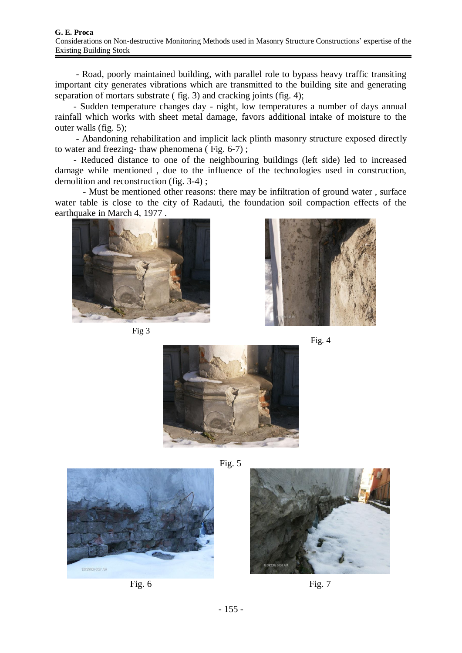- Road, poorly maintained building, with parallel role to bypass heavy traffic transiting important city generates vibrations which are transmitted to the building site and generating separation of mortars substrate ( fig. 3) and cracking joints (fig. 4);

- Sudden temperature changes day - night, low temperatures a number of days annual rainfall which works with sheet metal damage, favors additional intake of moisture to the outer walls (fig. 5);

- Abandoning rehabilitation and implicit lack plinth masonry structure exposed directly to water and freezing- thaw phenomena ( Fig. 6-7) ;

- Reduced distance to one of the neighbouring buildings (left side) led to increased damage while mentioned , due to the influence of the technologies used in construction, demolition and reconstruction (fig. 3-4) ;

- Must be mentioned other reasons: there may be infiltration of ground water , surface water table is close to the city of Radauti, the foundation soil compaction effects of the earthquake in March 4, 1977 .



Fig 3









Fig. 6 Fig.  $7 \times 7$